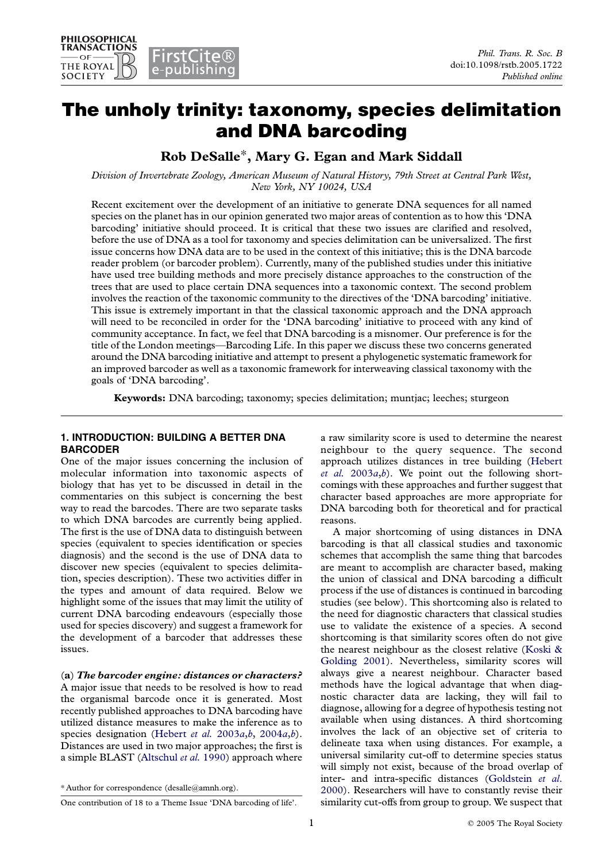

# The unholy trinity: taxonomy, species delimitation and DNA barcoding

## Rob DeSalle\*, Mary G. Egan and Mark Siddall

Division of Invertebrate Zoology, American Museum of Natural History, 79th Street at Central Park West, New York, NY 10024, USA

Recent excitement over the development of an initiative to generate DNA sequences for all named species on the planet has in our opinion generated two major areas of contention as to how this 'DNA barcoding' initiative should proceed. It is critical that these two issues are clarified and resolved, before the use of DNA as a tool for taxonomy and species delimitation can be universalized. The first issue concerns how DNA data are to be used in the context of this initiative; this is the DNA barcode reader problem (or barcoder problem). Currently, many of the published studies under this initiative have used tree building methods and more precisely distance approaches to the construction of the trees that are used to place certain DNA sequences into a taxonomic context. The second problem involves the reaction of the taxonomic community to the directives of the 'DNA barcoding' initiative. This issue is extremely important in that the classical taxonomic approach and the DNA approach will need to be reconciled in order for the 'DNA barcoding' initiative to proceed with any kind of community acceptance. In fact, we feel that DNA barcoding is a misnomer. Our preference is for the title of the London meetings—Barcoding Life. In this paper we discuss these two concerns generated around the DNA barcoding initiative and attempt to present a phylogenetic systematic framework for an improved barcoder as well as a taxonomic framework for interweaving classical taxonomy with the goals of 'DNA barcoding'.

Keywords: DNA barcoding; taxonomy; species delimitation; muntjac; leeches; sturgeon

#### 1. INTRODUCTION: BUILDING A BETTER DNA BARCODER

One of the major issues concerning the inclusion of molecular information into taxonomic aspects of biology that has yet to be discussed in detail in the commentaries on this subject is concerning the best way to read the barcodes. There are two separate tasks to which DNA barcodes are currently being applied. The first is the use of DNA data to distinguish between species (equivalent to species identification or species diagnosis) and the second is the use of DNA data to discover new species (equivalent to species delimitation, species description). These two activities differ in the types and amount of data required. Below we highlight some of the issues that may limit the utility of current DNA barcoding endeavours (especially those used for species discovery) and suggest a framework for the development of a barcoder that addresses these issues.

(a) The barcoder engine: distances or characters? A major issue that needs to be resolved is how to read the organismal barcode once it is generated. Most recently published approaches to DNA barcoding have utilized distance measures to make the inference as to species designation [\(Hebert](#page-10-0) et al. 2003a,[b](#page-11-0), [2004](#page-11-0)a,b). Distances are used in two major approaches; the first is a simple BLAST ([Altschul](#page-10-0) et al. 1990) approach where

One contribution of 18 to a Theme Issue 'DNA barcoding of life'.

a raw similarity score is used to determine the nearest neighbour to the query sequence. The second approach utilizes distances in tree building ([Hebert](#page-10-0) [et al.](#page-10-0)  $2003a,b$  $2003a,b$ . We point out the following shortcomings with these approaches and further suggest that character based approaches are more appropriate for DNA barcoding both for theoretical and for practical reasons.

A major shortcoming of using distances in DNA barcoding is that all classical studies and taxonomic schemes that accomplish the same thing that barcodes are meant to accomplish are character based, making the union of classical and DNA barcoding a difficult process if the use of distances is continued in barcoding studies (see below). This shortcoming also is related to the need for diagnostic characters that classical studies use to validate the existence of a species. A second shortcoming is that similarity scores often do not give the nearest neighbour as the closest relative [\(Koski &](#page-11-0) [Golding 2001](#page-11-0)). Nevertheless, similarity scores will always give a nearest neighbour. Character based methods have the logical advantage that when diagnostic character data are lacking, they will fail to diagnose, allowing for a degree of hypothesis testing not available when using distances. A third shortcoming involves the lack of an objective set of criteria to delineate taxa when using distances. For example, a universal similarity cut-off to determine species status will simply not exist, because of the broad overlap of inter- and intra-specific distances [\(Goldstein](#page-10-0) et al. [2000](#page-10-0)). Researchers will have to constantly revise their similarity cut-offs from group to group. We suspect that

<sup>\*</sup> Author for correspondence (desalle@amnh.org).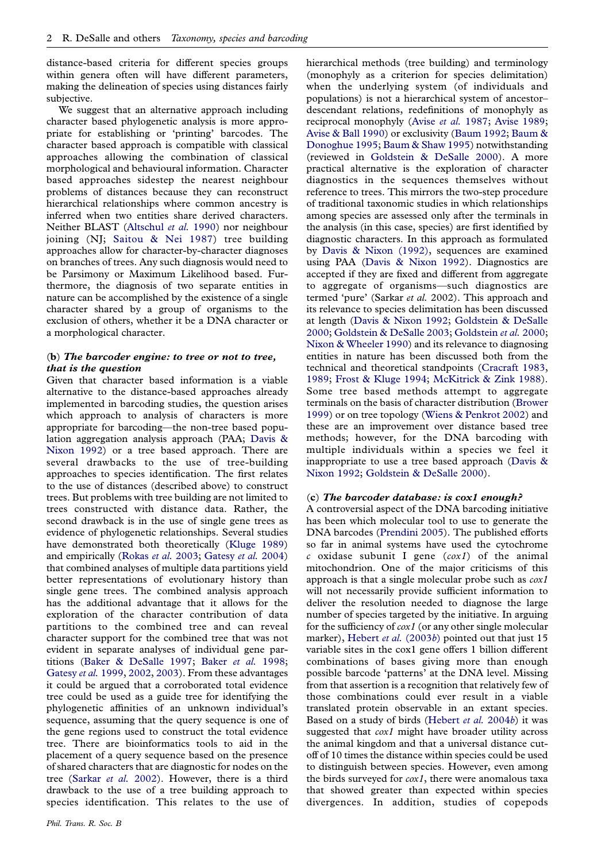distance-based criteria for different species groups within genera often will have different parameters, making the delineation of species using distances fairly subjective.

We suggest that an alternative approach including character based phylogenetic analysis is more appropriate for establishing or 'printing' barcodes. The character based approach is compatible with classical approaches allowing the combination of classical morphological and behavioural information. Character based approaches sidestep the nearest neighbour problems of distances because they can reconstruct hierarchical relationships where common ancestry is inferred when two entities share derived characters. Neither BLAST [\(Altschul](#page-10-0) et al. 1990) nor neighbour joining (NJ; [Saitou & Nei 1987](#page-11-0)) tree building approaches allow for character-by-character diagnoses on branches of trees. Any such diagnosis would need to be Parsimony or Maximum Likelihood based. Furthermore, the diagnosis of two separate entities in nature can be accomplished by the existence of a single character shared by a group of organisms to the exclusion of others, whether it be a DNA character or a morphological character.

#### (b) The barcoder engine: to tree or not to tree, that is the question

Given that character based information is a viable alternative to the distance-based approaches already implemented in barcoding studies, the question arises which approach to analysis of characters is more appropriate for barcoding—the non-tree based population aggregation analysis approach (PAA; [Davis &](#page-10-0) [Nixon 1992](#page-10-0)) or a tree based approach. There are several drawbacks to the use of tree-building approaches to species identification. The first relates to the use of distances (described above) to construct trees. But problems with tree building are not limited to trees constructed with distance data. Rather, the second drawback is in the use of single gene trees as evidence of phylogenetic relationships. Several studies have demonstrated both theoretically ([Kluge 1989\)](#page-11-0) and empirically [\(Rokas](#page-11-0) et al. 2003; [Gatesy](#page-10-0) et al. 2004) that combined analyses of multiple data partitions yield better representations of evolutionary history than single gene trees. The combined analysis approach has the additional advantage that it allows for the exploration of the character contribution of data partitions to the combined tree and can reveal character support for the combined tree that was not evident in separate analyses of individual gene partitions [\(Baker & DeSalle 1997;](#page-10-0) [Baker](#page-10-0) et al. 1998; [Gatesy](#page-10-0) et al. 1999, [2002,](#page-10-0) [2003\)](#page-10-0). From these advantages it could be argued that a corroborated total evidence tree could be used as a guide tree for identifying the phylogenetic affinities of an unknown individual's sequence, assuming that the query sequence is one of the gene regions used to construct the total evidence tree. There are bioinformatics tools to aid in the placement of a query sequence based on the presence of shared characters that are diagnostic for nodes on the tree ([Sarkar](#page-11-0) et al. 2002). However, there is a third drawback to the use of a tree building approach to species identification. This relates to the use of

hierarchical methods (tree building) and terminology (monophyly as a criterion for species delimitation) when the underlying system (of individuals and populations) is not a hierarchical system of ancestor– descendant relations, redefinitions of monophyly as reciprocal monophyly [\(Avise](#page-10-0) et al. 1987; [Avise 1989;](#page-10-0) [Avise & Ball 1990\)](#page-10-0) or exclusivity [\(Baum 1992;](#page-10-0) [Baum &](#page-10-0) [Donoghue 1995](#page-10-0); [Baum & Shaw 1995](#page-10-0)) notwithstanding (reviewed in [Goldstein & DeSalle 2000\)](#page-10-0). A more practical alternative is the exploration of character diagnostics in the sequences themselves without reference to trees. This mirrors the two-step procedure of traditional taxonomic studies in which relationships among species are assessed only after the terminals in the analysis (in this case, species) are first identified by diagnostic characters. In this approach as formulated by [Davis & Nixon \(1992\),](#page-10-0) sequences are examined using PAA ([Davis & Nixon 1992](#page-10-0)). Diagnostics are accepted if they are fixed and different from aggregate to aggregate of organisms—such diagnostics are termed 'pure' (Sarkar et al. 2002). This approach and its relevance to species delimitation has been discussed at length ([Davis & Nixon 1992;](#page-10-0) [Goldstein & DeSalle](#page-10-0) [2000](#page-10-0); [Goldstein & DeSalle 2003;](#page-10-0) [Goldstein](#page-10-0) et al. 2000; [Nixon & Wheeler 1990\)](#page-11-0) and its relevance to diagnosing entities in nature has been discussed both from the technical and theoretical standpoints [\(Cracraft 1983,](#page-10-0) [1989](#page-10-0); [Frost & Kluge 1994;](#page-10-0) [McKitrick & Zink 1988\)](#page-11-0). Some tree based methods attempt to aggregate terminals on the basis of character distribution ([Brower](#page-10-0) [1999](#page-10-0)) or on tree topology [\(Wiens & Penkrot 2002](#page-11-0)) and these are an improvement over distance based tree methods; however, for the DNA barcoding with multiple individuals within a species we feel it inappropriate to use a tree based approach [\(Davis &](#page-10-0) [Nixon 1992;](#page-10-0) [Goldstein & DeSalle 2000](#page-10-0)).

#### (c) The barcoder database: is cox1 enough?

A controversial aspect of the DNA barcoding initiative has been which molecular tool to use to generate the DNA barcodes [\(Prendini 2005](#page-11-0)). The published efforts so far in animal systems have used the cytochrome  $c$  oxidase subunit I gene  $(cox1)$  of the animal mitochondrion. One of the major criticisms of this approach is that a single molecular probe such as cox1 will not necessarily provide sufficient information to deliver the resolution needed to diagnose the large number of species targeted by the initiative. In arguing for the sufficiency of  $\cos 1$  (or any other single molecular marker), [Hebert](#page-10-0) et al. (2003b) pointed out that just 15 variable sites in the cox1 gene offers 1 billion different combinations of bases giving more than enough possible barcode 'patterns' at the DNA level. Missing from that assertion is a recognition that relatively few of those combinations could ever result in a viable translated protein observable in an extant species. Based on a study of birds [\(Hebert](#page-11-0) et al. 2004b) it was suggested that *cox1* might have broader utility across the animal kingdom and that a universal distance cutoff of 10 times the distance within species could be used to distinguish between species. However, even among the birds surveyed for  $\cos 1$ , there were anomalous taxa that showed greater than expected within species divergences. In addition, studies of copepods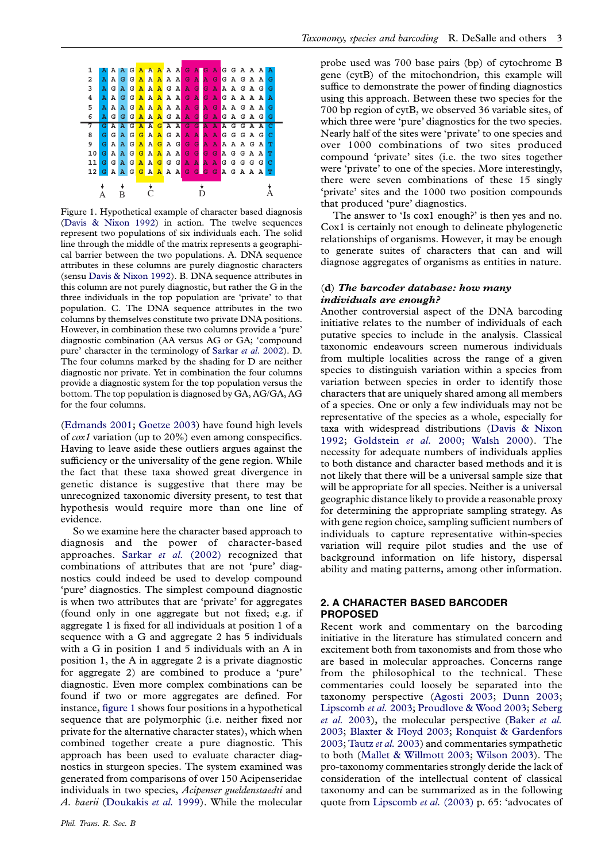

Figure 1. Hypothetical example of character based diagnosis ([Davis & Nixon 1992\)](#page-10-0) in action. The twelve sequences represent two populations of six individuals each. The solid line through the middle of the matrix represents a geographical barrier between the two populations. A. DNA sequence attributes in these columns are purely diagnostic characters (sensu [Davis & Nixon 1992\)](#page-10-0). B. DNA sequence attributes in this column are not purely diagnostic, but rather the G in the three individuals in the top population are 'private' to that population. C. The DNA sequence attributes in the two columns by themselves constitute two private DNA positions. However, in combination these two columns provide a 'pure' diagnostic combination (AA versus AG or GA; 'compound pure' character in the terminology of Sarkar et al[. 2002\)](#page-11-0). D. The four columns marked by the shading for D are neither diagnostic nor private. Yet in combination the four columns provide a diagnostic system for the top population versus the bottom. The top population is diagnosed by GA, AG/GA, AG for the four columns.

[\(Edmands 2001;](#page-10-0) [Goetze 2003\)](#page-10-0) have found high levels of cox1 variation (up to 20%) even among conspecifics. Having to leave aside these outliers argues against the sufficiency or the universality of the gene region. While the fact that these taxa showed great divergence in genetic distance is suggestive that there may be unrecognized taxonomic diversity present, to test that hypothesis would require more than one line of evidence.

So we examine here the character based approach to diagnosis and the power of character-based approaches. Sarkar et al. [\(2002\)](#page-11-0) recognized that combinations of attributes that are not 'pure' diagnostics could indeed be used to develop compound 'pure' diagnostics. The simplest compound diagnostic is when two attributes that are 'private' for aggregates (found only in one aggregate but not fixed; e.g. if aggregate 1 is fixed for all individuals at position 1 of a sequence with a G and aggregate 2 has 5 individuals with a G in position 1 and 5 individuals with an A in position 1, the A in aggregate 2 is a private diagnostic for aggregate 2) are combined to produce a 'pure' diagnostic. Even more complex combinations can be found if two or more aggregates are defined. For instance, figure 1 shows four positions in a hypothetical sequence that are polymorphic (i.e. neither fixed nor private for the alternative character states), which when combined together create a pure diagnostic. This approach has been used to evaluate character diagnostics in sturgeon species. The system examined was generated from comparisons of over 150 Acipenseridae individuals in two species, Acipenser gueldenstaedti and A. baerii ([Doukakis](#page-10-0) et al. 1999). While the molecular

probe used was 700 base pairs (bp) of cytochrome B gene (cytB) of the mitochondrion, this example will suffice to demonstrate the power of finding diagnostics using this approach. Between these two species for the 700 bp region of cytB, we observed 36 variable sites, of which three were 'pure' diagnostics for the two species. Nearly half of the sites were 'private' to one species and over 1000 combinations of two sites produced compound 'private' sites (i.e. the two sites together were 'private' to one of the species. More interestingly, there were seven combinations of these 15 singly 'private' sites and the 1000 two position compounds that produced 'pure' diagnostics.

The answer to 'Is cox1 enough?' is then yes and no. Cox1 is certainly not enough to delineate phylogenetic relationships of organisms. However, it may be enough to generate suites of characters that can and will diagnose aggregates of organisms as entities in nature.

#### (d) The barcoder database: how many individuals are enough?

Another controversial aspect of the DNA barcoding initiative relates to the number of individuals of each putative species to include in the analysis. Classical taxonomic endeavours screen numerous individuals from multiple localities across the range of a given species to distinguish variation within a species from variation between species in order to identify those characters that are uniquely shared among all members of a species. One or only a few individuals may not be representative of the species as a whole, especially for taxa with widespread distributions [\(Davis & Nixon](#page-10-0) [1992](#page-10-0); [Goldstein](#page-10-0) et al. 2000; [Walsh 2000](#page-11-0)). The necessity for adequate numbers of individuals applies to both distance and character based methods and it is not likely that there will be a universal sample size that will be appropriate for all species. Neither is a universal geographic distance likely to provide a reasonable proxy for determining the appropriate sampling strategy. As with gene region choice, sampling sufficient numbers of individuals to capture representative within-species variation will require pilot studies and the use of background information on life history, dispersal ability and mating patterns, among other information.

### 2. A CHARACTER BASED BARCODER PROPOSED

Recent work and commentary on the barcoding initiative in the literature has stimulated concern and excitement both from taxonomists and from those who are based in molecular approaches. Concerns range from the philosophical to the technical. These commentaries could loosely be separated into the taxonomy perspective [\(Agosti 2003;](#page-9-0) [Dunn 2003;](#page-10-0) [Lipscomb](#page-11-0) et al. 2003; [Proudlove & Wood 2003;](#page-11-0) [Seberg](#page-11-0) [et al.](#page-11-0) 2003), the molecular perspective [\(Baker](#page-10-0) et al. [2003](#page-10-0); [Blaxter & Floyd 2003;](#page-10-0) [Ronquist & Gardenfors](#page-11-0) [2003](#page-11-0); [Tautz](#page-11-0) et al. 2003) and commentaries sympathetic to both ([Mallet & Willmott 2003](#page-11-0); [Wilson 2003](#page-11-0)). The pro-taxonomy commentaries strongly deride the lack of consideration of the intellectual content of classical taxonomy and can be summarized as in the following quote from [Lipscomb](#page-11-0) et al. (2003) p. 65: 'advocates of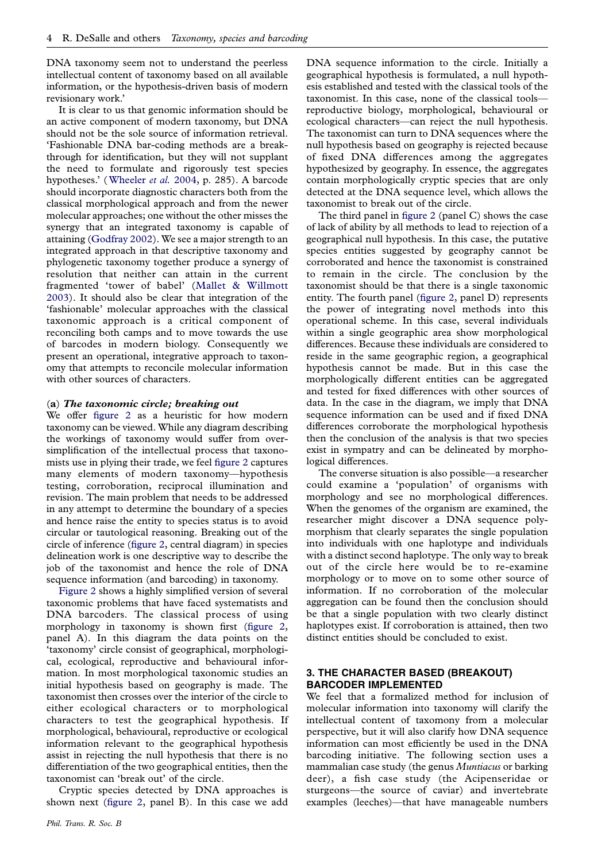DNA taxonomy seem not to understand the peerless intellectual content of taxonomy based on all available information, or the hypothesis-driven basis of modern revisionary work.'

It is clear to us that genomic information should be an active component of modern taxonomy, but DNA should not be the sole source of information retrieval. 'Fashionable DNA bar-coding methods are a breakthrough for identification, but they will not supplant the need to formulate and rigorously test species hypotheses.' ([Wheeler](#page-11-0) et al. 2004, p. 285). A barcode should incorporate diagnostic characters both from the classical morphological approach and from the newer molecular approaches; one without the other misses the synergy that an integrated taxonomy is capable of attaining [\(Godfray 2002](#page-10-0)). We see a major strength to an integrated approach in that descriptive taxonomy and phylogenetic taxonomy together produce a synergy of resolution that neither can attain in the current fragmented 'tower of babel' [\(Mallet & Willmott](#page-11-0) [2003](#page-11-0)). It should also be clear that integration of the 'fashionable' molecular approaches with the classical taxonomic approach is a critical component of reconciling both camps and to move towards the use of barcodes in modern biology. Consequently we present an operational, integrative approach to taxonomy that attempts to reconcile molecular information with other sources of characters.

#### (a) The taxonomic circle; breaking out

We offer [figure 2](#page-4-0) as a heuristic for how modern taxonomy can be viewed. While any diagram describing the workings of taxonomy would suffer from oversimplification of the intellectual process that taxonomists use in plying their trade, we feel [figure 2](#page-4-0) captures many elements of modern taxonomy—hypothesis testing, corroboration, reciprocal illumination and revision. The main problem that needs to be addressed in any attempt to determine the boundary of a species and hence raise the entity to species status is to avoid circular or tautological reasoning. Breaking out of the circle of inference [\(figure 2,](#page-4-0) central diagram) in species delineation work is one descriptive way to describe the job of the taxonomist and hence the role of DNA sequence information (and barcoding) in taxonomy.

[Figure 2](#page-4-0) shows a highly simplified version of several taxonomic problems that have faced systematists and DNA barcoders. The classical process of using morphology in taxonomy is shown first ([figure 2,](#page-4-0) panel A). In this diagram the data points on the 'taxonomy' circle consist of geographical, morphological, ecological, reproductive and behavioural information. In most morphological taxonomic studies an initial hypothesis based on geography is made. The taxonomist then crosses over the interior of the circle to either ecological characters or to morphological characters to test the geographical hypothesis. If morphological, behavioural, reproductive or ecological information relevant to the geographical hypothesis assist in rejecting the null hypothesis that there is no differentiation of the two geographical entities, then the taxonomist can 'break out' of the circle.

Cryptic species detected by DNA approaches is shown next ([figure 2](#page-4-0), panel B). In this case we add DNA sequence information to the circle. Initially a geographical hypothesis is formulated, a null hypothesis established and tested with the classical tools of the taxonomist. In this case, none of the classical tools reproductive biology, morphological, behavioural or ecological characters—can reject the null hypothesis. The taxonomist can turn to DNA sequences where the null hypothesis based on geography is rejected because of fixed DNA differences among the aggregates hypothesized by geography. In essence, the aggregates contain morphologically cryptic species that are only detected at the DNA sequence level, which allows the taxonomist to break out of the circle.

The third panel in [figure 2](#page-4-0) (panel C) shows the case of lack of ability by all methods to lead to rejection of a geographical null hypothesis. In this case, the putative species entities suggested by geography cannot be corroborated and hence the taxonomist is constrained to remain in the circle. The conclusion by the taxonomist should be that there is a single taxonomic entity. The fourth panel [\(figure 2,](#page-4-0) panel D) represents the power of integrating novel methods into this operational scheme. In this case, several individuals within a single geographic area show morphological differences. Because these individuals are considered to reside in the same geographic region, a geographical hypothesis cannot be made. But in this case the morphologically different entities can be aggregated and tested for fixed differences with other sources of data. In the case in the diagram, we imply that DNA sequence information can be used and if fixed DNA differences corroborate the morphological hypothesis then the conclusion of the analysis is that two species exist in sympatry and can be delineated by morphological differences.

The converse situation is also possible—a researcher could examine a 'population' of organisms with morphology and see no morphological differences. When the genomes of the organism are examined, the researcher might discover a DNA sequence polymorphism that clearly separates the single population into individuals with one haplotype and individuals with a distinct second haplotype. The only way to break out of the circle here would be to re-examine morphology or to move on to some other source of information. If no corroboration of the molecular aggregation can be found then the conclusion should be that a single population with two clearly distinct haplotypes exist. If corroboration is attained, then two distinct entities should be concluded to exist.

#### 3. THE CHARACTER BASED (BREAKOUT) BARCODER IMPLEMENTED

We feel that a formalized method for inclusion of molecular information into taxonomy will clarify the intellectual content of taxomony from a molecular perspective, but it will also clarify how DNA sequence information can most efficiently be used in the DNA barcoding initiative. The following section uses a mammalian case study (the genus Muntiacus or barking deer), a fish case study (the Acipenseridae or sturgeons—the source of caviar) and invertebrate examples (leeches)—that have manageable numbers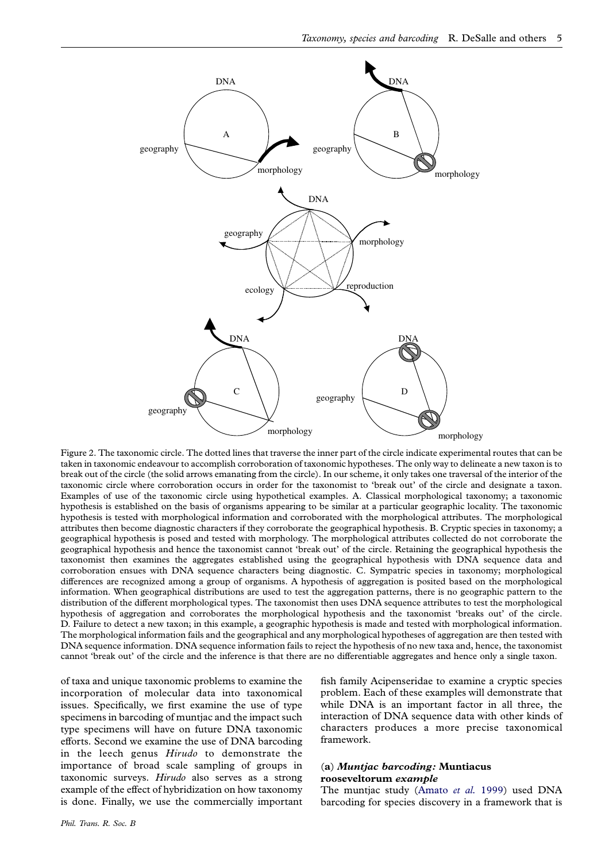<span id="page-4-0"></span>

Figure 2. The taxonomic circle. The dotted lines that traverse the inner part of the circle indicate experimental routes that can be taken in taxonomic endeavour to accomplish corroboration of taxonomic hypotheses. The only way to delineate a new taxon is to break out of the circle (the solid arrows emanating from the circle). In our scheme, it only takes one traversal of the interior of the taxonomic circle where corroboration occurs in order for the taxonomist to 'break out' of the circle and designate a taxon. Examples of use of the taxonomic circle using hypothetical examples. A. Classical morphological taxonomy; a taxonomic hypothesis is established on the basis of organisms appearing to be similar at a particular geographic locality. The taxonomic hypothesis is tested with morphological information and corroborated with the morphological attributes. The morphological attributes then become diagnostic characters if they corroborate the geographical hypothesis. B. Cryptic species in taxonomy; a geographical hypothesis is posed and tested with morphology. The morphological attributes collected do not corroborate the geographical hypothesis and hence the taxonomist cannot 'break out' of the circle. Retaining the geographical hypothesis the taxonomist then examines the aggregates established using the geographical hypothesis with DNA sequence data and corroboration ensues with DNA sequence characters being diagnostic. C. Sympatric species in taxonomy; morphological differences are recognized among a group of organisms. A hypothesis of aggregation is posited based on the morphological information. When geographical distributions are used to test the aggregation patterns, there is no geographic pattern to the distribution of the different morphological types. The taxonomist then uses DNA sequence attributes to test the morphological hypothesis of aggregation and corroborates the morphological hypothesis and the taxonomist 'breaks out' of the circle. D. Failure to detect a new taxon; in this example, a geographic hypothesis is made and tested with morphological information. The morphological information fails and the geographical and any morphological hypotheses of aggregation are then tested with DNA sequence information. DNA sequence information fails to reject the hypothesis of no new taxa and, hence, the taxonomist cannot 'break out' of the circle and the inference is that there are no differentiable aggregates and hence only a single taxon.

of taxa and unique taxonomic problems to examine the incorporation of molecular data into taxonomical issues. Specifically, we first examine the use of type specimens in barcoding of muntjac and the impact such type specimens will have on future DNA taxonomic efforts. Second we examine the use of DNA barcoding in the leech genus Hirudo to demonstrate the importance of broad scale sampling of groups in taxonomic surveys. Hirudo also serves as a strong example of the effect of hybridization on how taxonomy is done. Finally, we use the commercially important

fish family Acipenseridae to examine a cryptic species problem. Each of these examples will demonstrate that while DNA is an important factor in all three, the interaction of DNA sequence data with other kinds of characters produces a more precise taxonomical framework.

#### (a) Muntjac barcoding: Muntiacus rooseveltorum example

The muntjac study ([Amato](#page-10-0) et al. 1999) used DNA barcoding for species discovery in a framework that is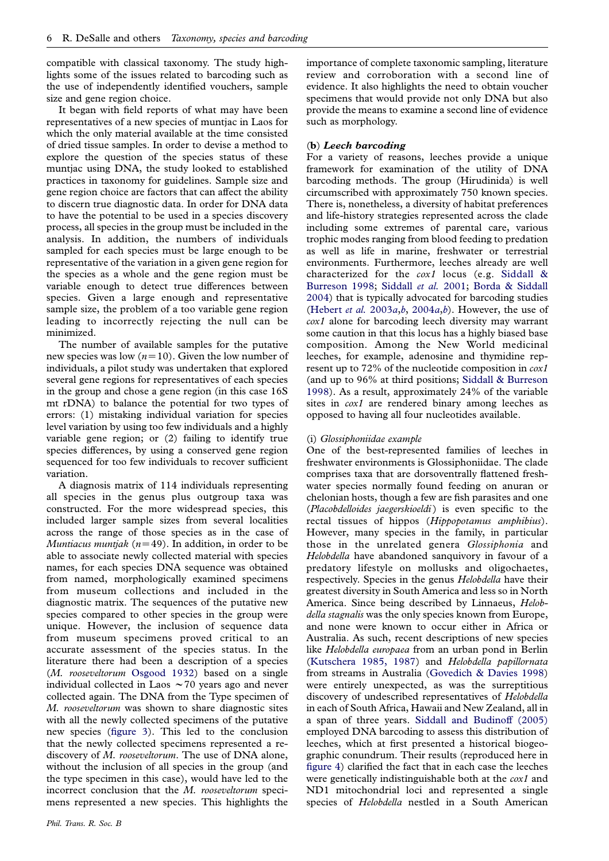compatible with classical taxonomy. The study highlights some of the issues related to barcoding such as the use of independently identified vouchers, sample size and gene region choice.

It began with field reports of what may have been representatives of a new species of muntjac in Laos for which the only material available at the time consisted of dried tissue samples. In order to devise a method to explore the question of the species status of these muntjac using DNA, the study looked to established practices in taxonomy for guidelines. Sample size and gene region choice are factors that can affect the ability to discern true diagnostic data. In order for DNA data to have the potential to be used in a species discovery process, all species in the group must be included in the analysis. In addition, the numbers of individuals sampled for each species must be large enough to be representative of the variation in a given gene region for the species as a whole and the gene region must be variable enough to detect true differences between species. Given a large enough and representative sample size, the problem of a too variable gene region leading to incorrectly rejecting the null can be minimized.

The number of available samples for the putative new species was low  $(n=10)$ . Given the low number of individuals, a pilot study was undertaken that explored several gene regions for representatives of each species in the group and chose a gene region (in this case 16S mt rDNA) to balance the potential for two types of errors: (1) mistaking individual variation for species level variation by using too few individuals and a highly variable gene region; or (2) failing to identify true species differences, by using a conserved gene region sequenced for too few individuals to recover sufficient variation.

A diagnosis matrix of 114 individuals representing all species in the genus plus outgroup taxa was constructed. For the more widespread species, this included larger sample sizes from several localities across the range of those species as in the case of *Muntiacus muntiak* ( $n=49$ ). In addition, in order to be able to associate newly collected material with species names, for each species DNA sequence was obtained from named, morphologically examined specimens from museum collections and included in the diagnostic matrix. The sequences of the putative new species compared to other species in the group were unique. However, the inclusion of sequence data from museum specimens proved critical to an accurate assessment of the species status. In the literature there had been a description of a species (M. rooseveltorum [Osgood 1932\)](#page-11-0) based on a single individual collected in Laos  $\sim$  70 years ago and never collected again. The DNA from the Type specimen of M. rooseveltorum was shown to share diagnostic sites with all the newly collected specimens of the putative new species [\(figure 3](#page-6-0)). This led to the conclusion that the newly collected specimens represented a rediscovery of M. rooseveltorum. The use of DNA alone, without the inclusion of all species in the group (and the type specimen in this case), would have led to the incorrect conclusion that the M. rooseveltorum specimens represented a new species. This highlights the

Phil. Trans. R. Soc. B

importance of complete taxonomic sampling, literature review and corroboration with a second line of evidence. It also highlights the need to obtain voucher specimens that would provide not only DNA but also provide the means to examine a second line of evidence such as morphology.

### (b) Leech barcoding

For a variety of reasons, leeches provide a unique framework for examination of the utility of DNA barcoding methods. The group (Hirudinida) is well circumscribed with approximately 750 known species. There is, nonetheless, a diversity of habitat preferences and life-history strategies represented across the clade including some extremes of parental care, various trophic modes ranging from blood feeding to predation as well as life in marine, freshwater or terrestrial environments. Furthermore, leeches already are well characterized for the  $\cos 1$  locus (e.g. [Siddall &](#page-11-0) [Burreson 1998;](#page-11-0) [Siddall](#page-11-0) et al. 2001; [Borda & Siddall](#page-10-0) [2004](#page-10-0)) that is typically advocated for barcoding studies [\(Hebert](#page-10-0) *et al.* 2003*a,[b](#page-11-0),* [2004](#page-11-0)*a,b*). However, the use of cox1 alone for barcoding leech diversity may warrant some caution in that this locus has a highly biased base composition. Among the New World medicinal leeches, for example, adenosine and thymidine represent up to 72% of the nucleotide composition in cox1 (and up to 96% at third positions; [Siddall & Burreson](#page-11-0) [1998](#page-11-0)). As a result, approximately 24% of the variable sites in *cox1* are rendered binary among leeches as opposed to having all four nucleotides available.

### (i) Glossiphoniidae example

One of the best-represented families of leeches in freshwater environments is Glossiphoniidae. The clade comprises taxa that are dorsoventrally flattened freshwater species normally found feeding on anuran or chelonian hosts, though a few are fish parasites and one (Placobdelloides jaegerskioeldi) is even specific to the rectal tissues of hippos (Hippopotamus amphibius). However, many species in the family, in particular those in the unrelated genera Glossiphonia and Helobdella have abandoned sanquivory in favour of a predatory lifestyle on mollusks and oligochaetes, respectively. Species in the genus Helobdella have their greatest diversity in South America and less so in North America. Since being described by Linnaeus, Helobdella stagnalis was the only species known from Europe, and none were known to occur either in Africa or Australia. As such, recent descriptions of new species like Helobdella europaea from an urban pond in Berlin [\(Kutschera 1985, 1987](#page-11-0)) and Helobdella papillornata from streams in Australia ([Govedich & Davies 1998\)](#page-10-0) were entirely unexpected, as was the surreptitious discovery of undescribed representatives of Helobdella in each of South Africa, Hawaii and New Zealand, all in a span of three years. [Siddall and Budinoff \(2005\)](#page-11-0) employed DNA barcoding to assess this distribution of leeches, which at first presented a historical biogeographic conundrum. Their results (reproduced here in [figure 4\)](#page-7-0) clarified the fact that in each case the leeches were genetically indistinguishable both at the *cox1* and ND1 mitochondrial loci and represented a single species of *Helobdella* nestled in a South American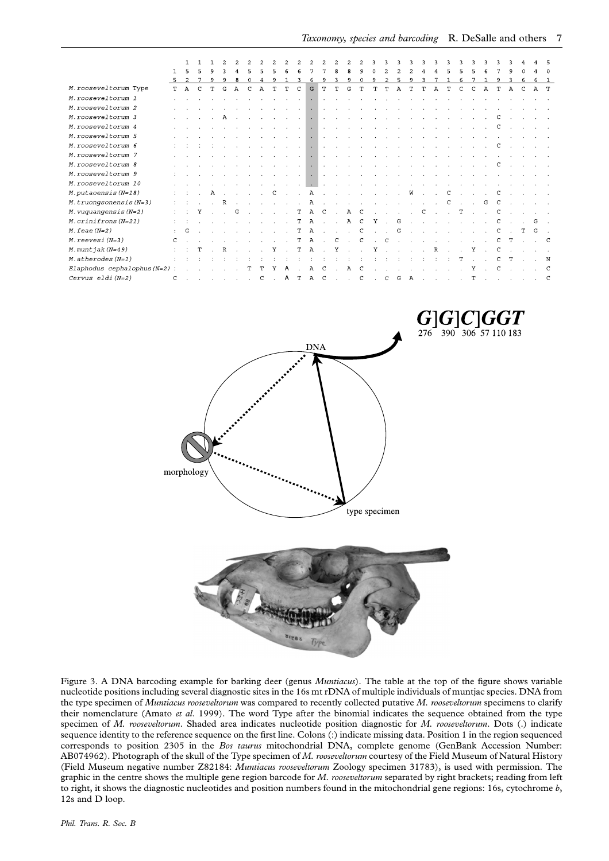<span id="page-6-0"></span>

|                                |               |         |   |          |                                                 |                | 2                                     |               |             |                                                                                                                                                                                                                                |                |                                                    | 2                  | 2                |                                |                                                                                                                                                                                                                                                                                                                                                                                                                                                                                                        |             | $\sim$        | -3.           |               |        |        |                 |                                                                                                                                                 | 3                        |   |              |              |                                 | 4              |              |
|--------------------------------|---------------|---------|---|----------|-------------------------------------------------|----------------|---------------------------------------|---------------|-------------|--------------------------------------------------------------------------------------------------------------------------------------------------------------------------------------------------------------------------------|----------------|----------------------------------------------------|--------------------|------------------|--------------------------------|--------------------------------------------------------------------------------------------------------------------------------------------------------------------------------------------------------------------------------------------------------------------------------------------------------------------------------------------------------------------------------------------------------------------------------------------------------------------------------------------------------|-------------|---------------|---------------|---------------|--------|--------|-----------------|-------------------------------------------------------------------------------------------------------------------------------------------------|--------------------------|---|--------------|--------------|---------------------------------|----------------|--------------|
|                                |               |         |   |          |                                                 |                |                                       | 5             |             |                                                                                                                                                                                                                                |                |                                                    |                    | R                | $\mathsf{R}$                   | $\circ$                                                                                                                                                                                                                                                                                                                                                                                                                                                                                                | $\Omega$    | $\mathcal{D}$ | $\mathcal{D}$ | $\mathcal{L}$ |        |        | 5               |                                                                                                                                                 |                          |   |              |              |                                 |                | $\Omega$     |
|                                | - 5           |         |   | 9        | 9                                               | 8              | 0                                     | 4             | 9           |                                                                                                                                                                                                                                | 3              | 6                                                  | 9                  | 3                | 9                              | $^{\circ}$                                                                                                                                                                                                                                                                                                                                                                                                                                                                                             | 9           | 2             | 5             | 9             | 3      |        |                 | 6                                                                                                                                               |                          |   | 9            | 3            | 6                               | 6              | $\mathbf{1}$ |
| M.rooseveltorum Type           | T A           |         | C | <b>T</b> | G                                               | $\overline{A}$ | $\mathcal{C}$                         | $\mathbf{A}$  | $\mathbf T$ | $\mathbf T$                                                                                                                                                                                                                    | $\mathbb{C}$   | G                                                  | T                  | $\mathbf T$      | G                              | T                                                                                                                                                                                                                                                                                                                                                                                                                                                                                                      | $\mathbf T$ | T             | A T           |               | T      | A T    |                 | $\mathbb{C}$                                                                                                                                    | $\mathbf{C}$             | A | T            | $\mathbb{A}$ | $\mathbb{C}$                    | A T            |              |
| M.rooseveltorum 1              |               |         |   |          |                                                 |                |                                       |               |             | $\sim$                                                                                                                                                                                                                         | $\sim 100$     | $\sim$                                             |                    |                  |                                |                                                                                                                                                                                                                                                                                                                                                                                                                                                                                                        |             |               |               | $\sim$        | $\sim$ | $\sim$ |                 | the company of the                                                                                                                              |                          |   |              |              |                                 |                |              |
| M.rooseveltorum 2              |               |         |   |          |                                                 |                |                                       |               |             | $\sim$                                                                                                                                                                                                                         | <b>College</b> | $\sim$                                             |                    |                  |                                | a construction of the construction of the construction of the construction of the construction of the construction of the construction of the construction of the construction of the construction of the construction of the                                                                                                                                                                                                                                                                          |             |               |               |               |        |        |                 |                                                                                                                                                 |                          |   |              |              |                                 |                |              |
| M.rooseveltorum 3              |               |         |   |          |                                                 |                |                                       |               |             | $\mathbf{A}$                                                                                                                                                                                                                   |                | $\sim 10^{-1}$                                     |                    |                  |                                | $\mathcal{L} = \mathcal{L} = \mathcal{L} = \mathcal{L} = \mathcal{L} = \mathcal{L} = \mathcal{L} = \mathcal{L} = \mathcal{L} = \mathcal{L} = \mathcal{L} = \mathcal{L} = \mathcal{L} = \mathcal{L} = \mathcal{L} = \mathcal{L} = \mathcal{L}$                                                                                                                                                                                                                                                          |             |               |               |               |        |        |                 |                                                                                                                                                 |                          |   |              |              | the contract of the con-        |                |              |
| M.rooseveltorum 4              |               |         |   |          |                                                 |                |                                       | $\sim$        |             | .                                                                                                                                                                                                                              |                | <b>Contract</b>                                    |                    |                  |                                |                                                                                                                                                                                                                                                                                                                                                                                                                                                                                                        |             |               |               |               |        |        |                 |                                                                                                                                                 |                          |   |              |              |                                 |                |              |
| M.rooseveltorum 5              |               |         |   |          |                                                 |                | and the company of the company of the |               | $\sim$      | the contract of the con-                                                                                                                                                                                                       |                | <b>Contract</b>                                    |                    |                  |                                | the contract of the contract of the contract of the contract of the contract of the contract of the contract of                                                                                                                                                                                                                                                                                                                                                                                        |             |               |               |               |        |        |                 |                                                                                                                                                 |                          |   |              |              |                                 |                |              |
| M.rooseveltorum 6              |               |         |   |          |                                                 |                |                                       |               |             |                                                                                                                                                                                                                                |                | designed to the control of the control of the con- |                    |                  |                                | $\mathcal{L}$ . The contract of the contract of the contract of the contract of the contract of the contract of the contract of the contract of the contract of the contract of the contract of the contract of the contract of th                                                                                                                                                                                                                                                                     |             |               |               |               |        |        |                 |                                                                                                                                                 |                          |   |              |              |                                 |                |              |
| M.rooseveltorum 7              |               |         |   |          |                                                 |                | the contract of the contract of       |               |             | $\sim$                                                                                                                                                                                                                         | $\sim 10^{-1}$ | $\sim$                                             | <b>All College</b> | $\sim$ 100 $\mu$ |                                | the contract of the contract of the contract of the contract of the contract of the contract of the contract of                                                                                                                                                                                                                                                                                                                                                                                        |             |               |               |               |        |        |                 |                                                                                                                                                 |                          |   |              |              |                                 |                |              |
| M.rooseveltorum 8              |               |         |   |          |                                                 |                |                                       |               |             | the contract of the contract of the contract of the contract of the contract of the contract of the contract of                                                                                                                |                | <b>Contract</b>                                    |                    |                  |                                | $\mathbf{1}$ , and $\mathbf{1}$ , and $\mathbf{1}$ , and $\mathbf{1}$ , and $\mathbf{1}$ , and $\mathbf{1}$ , $\mathbf{1}$ , $\mathbf{1}$ , $\mathbf{1}$ , $\mathbf{1}$ , $\mathbf{1}$ , $\mathbf{1}$ , $\mathbf{1}$ , $\mathbf{1}$ , $\mathbf{1}$ , $\mathbf{1}$ , $\mathbf{1}$ , $\mathbf{1}$ , $\math$                                                                                                                                                                                              |             |               |               |               |        |        |                 |                                                                                                                                                 |                          |   |              |              |                                 |                |              |
| M.rooseveltorum 9              |               |         |   |          | the contract of the contract of the contract of |                |                                       | $\sim$        |             |                                                                                                                                                                                                                                |                |                                                    |                    |                  |                                | والمستنقل والمستنقل والمستنقل والمستنقل والمستنقل والمستنقل والمستنقل والمستنقل والمستنقل                                                                                                                                                                                                                                                                                                                                                                                                              |             |               |               |               |        |        |                 |                                                                                                                                                 |                          |   |              |              |                                 |                |              |
| M.rooseveltorum 10             |               |         |   |          |                                                 |                |                                       |               | $\sim$      | $\sim$                                                                                                                                                                                                                         |                | the control of the con-                            |                    |                  |                                | $\mathcal{L} = \mathcal{L} \times \mathcal{L} = \mathcal{L} \times \mathcal{L} = \mathcal{L} \times \mathcal{L} = \mathcal{L} \times \mathcal{L} = \mathcal{L} \times \mathcal{L} = \mathcal{L} \times \mathcal{L} = \mathcal{L} \times \mathcal{L} = \mathcal{L} \times \mathcal{L} = \mathcal{L} \times \mathcal{L} = \mathcal{L} \times \mathcal{L} = \mathcal{L} \times \mathcal{L} = \mathcal{L} \times \mathcal{L} = \mathcal{L} \times \mathcal{L} = \mathcal{L} \times \mathcal{L} = \mathcal$ |             |               |               |               |        |        |                 |                                                                                                                                                 |                          |   |              |              |                                 |                |              |
| M.putaoensis (N=18)            |               | $1 - 1$ |   |          |                                                 |                |                                       |               |             | . A C A                                                                                                                                                                                                                        |                |                                                    |                    |                  |                                | $\cdots$ $\mathbb{W}$ $\mathbb{C}$                                                                                                                                                                                                                                                                                                                                                                                                                                                                     |             |               |               |               |        |        |                 |                                                                                                                                                 |                          |   |              |              |                                 |                |              |
| $M.$ truongsonensis (N=3)      |               |         |   |          |                                                 |                |                                       |               |             | and Report of the Contract of the Report of the Contract of the Contract of the Report of the Report of the Report of the Report of the Report of the Report of the Report of the Report of the Report of the Report of the Re |                | A                                                  |                    |                  |                                |                                                                                                                                                                                                                                                                                                                                                                                                                                                                                                        |             |               |               |               |        |        |                 | $\ldots$ . G                                                                                                                                    |                          |   | C            |              | the company of the company      |                |              |
| $M. vuquangensis (N=2)$        | $1 - 1$       |         |   |          |                                                 |                |                                       |               |             |                                                                                                                                                                                                                                |                | Y G T A C . A C                                    |                    |                  |                                |                                                                                                                                                                                                                                                                                                                                                                                                                                                                                                        |             |               |               |               |        |        |                 | $\ldots$ $\subset$ T $\subset$                                                                                                                  |                          |   |              |              | the contract of the contract of |                |              |
| M.crinifrons (N=21)            |               |         |   |          |                                                 |                |                                       |               |             | $\ldots$ T                                                                                                                                                                                                                     |                | A A C                                              |                    |                  |                                |                                                                                                                                                                                                                                                                                                                                                                                                                                                                                                        |             | Y.G           |               |               |        |        |                 | $\mathcal{L}$ , and $\mathcal{L}$ , and $\mathcal{L}$ , and $\mathcal{L}$ , and $\mathcal{L}$ , and $\mathcal{L}$                               |                          |   |              |              |                                 | $\mathbf{G}$ . |              |
| $M$ . feae $(N=2)$             | $\mathcal{L}$ | G       |   |          |                                                 |                |                                       |               |             | restrict the contract of the contract of the contract of the contract of the contract of the contract of the contract of the contract of the contract of the contract of the contract of the contract of the contract of the c |                | $A \cdot \cdot \cdot \cdot C$                      |                    |                  |                                |                                                                                                                                                                                                                                                                                                                                                                                                                                                                                                        |             |               |               |               |        |        |                 |                                                                                                                                                 |                          |   |              | $\sim$       | T.                              | $G$ .          |              |
| M.reevesi (N=3)                |               |         |   |          |                                                 |                |                                       |               |             | and the company of the company of the company                                                                                                                                                                                  | T              | A.C.C                                              |                    |                  |                                |                                                                                                                                                                                                                                                                                                                                                                                                                                                                                                        |             |               |               |               |        |        |                 | <b>Contract Constitution Contract Constitution Constitution Constitution</b>                                                                    |                          |   | $\mathbb{C}$ |              |                                 |                |              |
| $M$ . muntjak (N=49)           |               |         | т |          | R                                               |                |                                       |               | Y           | $\sim$                                                                                                                                                                                                                         | т              | $\mathbf{A}$                                       | $\sim$             | Y                |                                | <b>Service</b> State                                                                                                                                                                                                                                                                                                                                                                                                                                                                                   |             |               |               |               |        |        |                 | $Y$ , , , , R , , $Y$                                                                                                                           |                          |   | $\cdot$ C    |              | the company of the company of   |                |              |
| $M.$ atherodes $(N=1)$         |               |         |   |          |                                                 |                |                                       | $\mathcal{L}$ | $\sim 10$   | $\mathcal{L}$                                                                                                                                                                                                                  | $\sim 10^{-1}$ | $\sim 10^6$                                        | $\sim$             | $\sim 10$        | $\ddot{\phantom{a}}$           |                                                                                                                                                                                                                                                                                                                                                                                                                                                                                                        |             |               |               |               |        |        | はいばいばい はいばいばいばい | T                                                                                                                                               | <b>Contract Contract</b> |   | $\mathbf{C}$ |              | $T \sim$                        | $\mathbb{N}$   |              |
| $Elaphodus cephalophus(N=2)$ : |               |         |   |          |                                                 |                | т                                     | т             | Y           | A                                                                                                                                                                                                                              |                | $\mathbb{A}$                                       | $\mathcal{C}$      | $\mathbf{r}$     | A                              | $\mathbf C$                                                                                                                                                                                                                                                                                                                                                                                                                                                                                            |             |               |               |               |        |        |                 | $\cdots$ $\cdots$ $\cdots$ $\cdots$ $\cdots$ $\cdots$ $\cdots$ $\cdots$ $\cdots$ $\cdots$ $\cdots$ $\cdots$ $\cdots$ $\cdots$ $\cdots$ $\cdots$ |                          |   |              |              | $\cdot$ $\circ$                 |                |              |
| Cervus eldi (N=2)              | C             |         |   |          |                                                 |                |                                       |               |             | . A T                                                                                                                                                                                                                          |                | A C                                                |                    |                  | $\ldots$ $\ldots$ $\mathbb{C}$ |                                                                                                                                                                                                                                                                                                                                                                                                                                                                                                        |             |               |               |               |        |        |                 | $\therefore$ C G A $\therefore$ $\therefore$ T                                                                                                  |                          | . |              |              |                                 |                |              |



Figure 3. A DNA barcoding example for barking deer (genus *Muntiacus*). The table at the top of the figure shows variable nucleotide positions including several diagnostic sites in the 16s mt rDNA of multiple individuals of muntjac species. DNA from the type specimen of Muntiacus rooseveltorum was compared to recently collected putative M. rooseveltorum specimens to clarify their nomenclature (Amato et al. 1999). The word Type after the binomial indicates the sequence obtained from the type specimen of M. rooseveltorum. Shaded area indicates nucleotide position diagnostic for M. rooseveltorum. Dots (.) indicate sequence identity to the reference sequence on the first line. Colons (:) indicate missing data. Position 1 in the region sequenced corresponds to position 2305 in the Bos taurus mitochondrial DNA, complete genome (GenBank Accession Number: AB074962). Photograph of the skull of the Type specimen of M. rooseveltorum courtesy of the Field Museum of Natural History (Field Museum negative number Z82184: Muntiacus rooseveltorum Zoology specimen 31783), is used with permission. The graphic in the centre shows the multiple gene region barcode for M. rooseveltorum separated by right brackets; reading from left to right, it shows the diagnostic nucleotides and position numbers found in the mitochondrial gene regions: 16s, cytochrome  $b$ , 12s and D loop.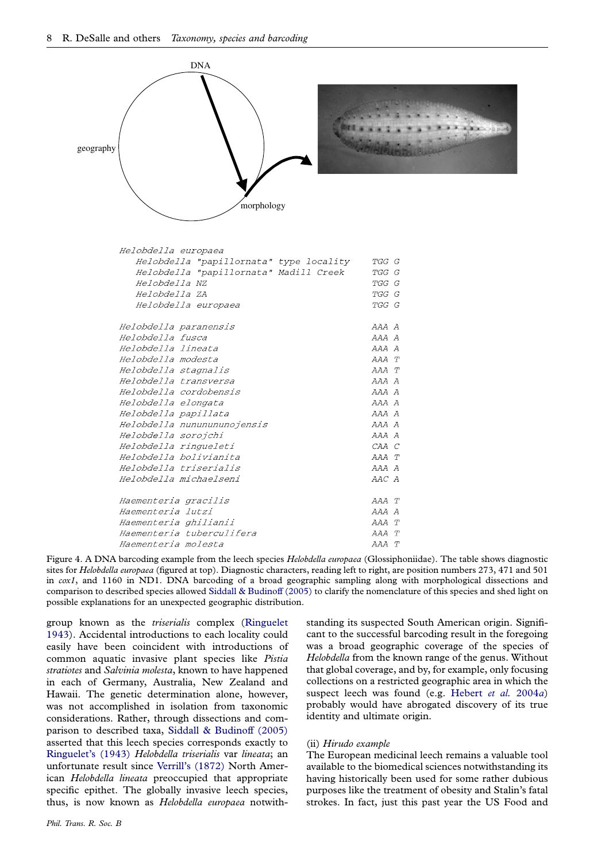<span id="page-7-0"></span>

Figure 4. A DNA barcoding example from the leech species Helobdella europaea (Glossiphoniidae). The table shows diagnostic sites for *Helobdella europaea* (figured at top). Diagnostic characters, reading left to right, are position numbers 273, 471 and 501 in cox1, and 1160 in ND1. DNA barcoding of a broad geographic sampling along with morphological dissections and comparison to described species allowed [Siddall & Budinoff \(2005\)](#page-11-0) to clarify the nomenclature of this species and shed light on possible explanations for an unexpected geographic distribution.

group known as the triserialis complex [\(Ringuelet](#page-11-0) [1943](#page-11-0)). Accidental introductions to each locality could easily have been coincident with introductions of common aquatic invasive plant species like Pistia stratiotes and Salvinia molesta, known to have happened in each of Germany, Australia, New Zealand and Hawaii. The genetic determination alone, however, was not accomplished in isolation from taxonomic considerations. Rather, through dissections and comparison to described taxa, [Siddall & Budinoff \(2005\)](#page-11-0) asserted that this leech species corresponds exactly to [Ringuelet's \(1943\)](#page-11-0) Helobdella triserialis var lineata; an unfortunate result since [Verrill's \(1872\)](#page-11-0) North American Helobdella lineata preoccupied that appropriate specific epithet. The globally invasive leech species, thus, is now known as Helobdella europaea notwithstanding its suspected South American origin. Significant to the successful barcoding result in the foregoing was a broad geographic coverage of the species of Helobdella from the known range of the genus. Without that global coverage, and by, for example, only focusing collections on a restricted geographic area in which the suspect leech was found (e.g. [Hebert](#page-11-0) et al. 2004a) probably would have abrogated discovery of its true identity and ultimate origin.

#### (ii) Hirudo example

The European medicinal leech remains a valuable tool available to the biomedical sciences notwithstanding its having historically been used for some rather dubious purposes like the treatment of obesity and Stalin's fatal strokes. In fact, just this past year the US Food and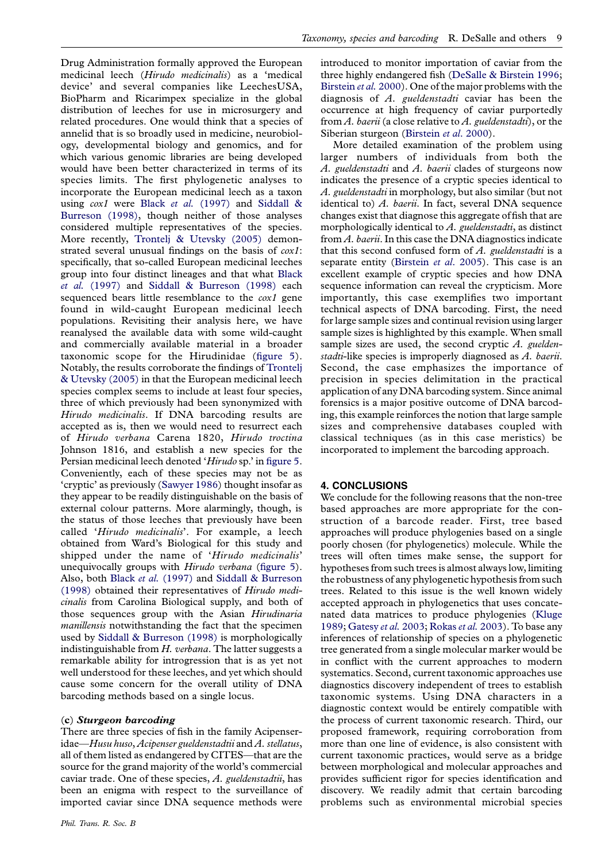Drug Administration formally approved the European medicinal leech (Hirudo medicinalis) as a 'medical device' and several companies like LeechesUSA, BioPharm and Ricarimpex specialize in the global distribution of leeches for use in microsurgery and related procedures. One would think that a species of annelid that is so broadly used in medicine, neurobiology, developmental biology and genomics, and for which various genomic libraries are being developed would have been better characterized in terms of its species limits. The first phylogenetic analyses to incorporate the European medicinal leech as a taxon using  $\cos 1$  were Black *et al.* [\(1997\)](#page-10-0) and [Siddall &](#page-11-0) [Burreson \(1998\),](#page-11-0) though neither of those analyses considered multiple representatives of the species. More recently, [Trontelj & Utevsky \(2005\)](#page-11-0) demonstrated several unusual findings on the basis of cox1: specifically, that so-called European medicinal leeches group into four distinct lineages and that what [Black](#page-10-0) et al. [\(1997\)](#page-10-0) and [Siddall & Burreson \(1998\)](#page-11-0) each sequenced bears little resemblance to the *cox1* gene found in wild-caught European medicinal leech populations. Revisiting their analysis here, we have reanalysed the available data with some wild-caught and commercially available material in a broader taxonomic scope for the Hirudinidae ([figure 5](#page-9-0)). Notably, the results corroborate the findings of [Trontelj](#page-11-0) [& Utevsky \(2005\)](#page-11-0) in that the European medicinal leech species complex seems to include at least four species, three of which previously had been synonymized with Hirudo medicinalis. If DNA barcoding results are accepted as is, then we would need to resurrect each of Hirudo verbana Carena 1820, Hirudo troctina Johnson 1816, and establish a new species for the Persian medicinal leech denoted 'Hirudo sp.' in [figure 5](#page-9-0). Conveniently, each of these species may not be as 'cryptic' as previously ([Sawyer 1986\)](#page-11-0) thought insofar as they appear to be readily distinguishable on the basis of external colour patterns. More alarmingly, though, is the status of those leeches that previously have been called 'Hirudo medicinalis'. For example, a leech obtained from Ward's Biological for this study and shipped under the name of 'Hirudo medicinalis' unequivocally groups with *Hirudo verbana* [\(figure 5\)](#page-9-0). Also, both Black et al. [\(1997\)](#page-10-0) and [Siddall & Burreson](#page-11-0) [\(1998\)](#page-11-0) obtained their representatives of Hirudo medicinalis from Carolina Biological supply, and both of those sequences group with the Asian Hirudinaria manillensis notwithstanding the fact that the specimen used by [Siddall & Burreson \(1998\)](#page-11-0) is morphologically indistinguishable from  $H$ . verbana. The latter suggests a remarkable ability for introgression that is as yet not well understood for these leeches, and yet which should cause some concern for the overall utility of DNA barcoding methods based on a single locus.

#### (c) Sturgeon barcoding

There are three species of fish in the family Acipenseridae—Husu huso, Acipenser gueldenstadtii and A. stellatus, all of them listed as endangered by CITES—that are the source for the grand majority of the world's commercial caviar trade. One of these species, A. gueldenstadtii, has been an enigma with respect to the surveillance of imported caviar since DNA sequence methods were

introduced to monitor importation of caviar from the three highly endangered fish ([DeSalle & Birstein 1996;](#page-10-0) [Birstein](#page-10-0) et al. 2000). One of the major problems with the diagnosis of  $A$ . gueldenstadti caviar has been the occurrence at high frequency of caviar purportedly from  $A$ . baerii (a close relative to  $A$ . gueldenstadti), or the Siberian sturgeon [\(Birstein](#page-10-0) et al. 2000).

More detailed examination of the problem using larger numbers of individuals from both the A. gueldenstadti and A. baerii clades of sturgeons now indicates the presence of a cryptic species identical to A. *gueldenstadti* in morphology, but also similar (but not identical to)  $A$ . *baerii*. In fact, several DNA sequence changes exist that diagnose this aggregate offish that are morphologically identical to  $A$ . gueldenstadti, as distinct from A. baerii. In this case the DNA diagnostics indicate that this second confused form of  $A$ . gueldenstadti is a separate entity ([Birstein](#page-10-0) et al. 2005). This case is an excellent example of cryptic species and how DNA sequence information can reveal the crypticism. More importantly, this case exemplifies two important technical aspects of DNA barcoding. First, the need for large sample sizes and continual revision using larger sample sizes is highlighted by this example. When small sample sizes are used, the second cryptic  $\Lambda$ . gueldenstadti-like species is improperly diagnosed as A. baerii. Second, the case emphasizes the importance of precision in species delimitation in the practical application of any DNA barcoding system. Since animal forensics is a major positive outcome of DNA barcoding, this example reinforces the notion that large sample sizes and comprehensive databases coupled with classical techniques (as in this case meristics) be incorporated to implement the barcoding approach.

#### 4. CONCLUSIONS

We conclude for the following reasons that the non-tree based approaches are more appropriate for the construction of a barcode reader. First, tree based approaches will produce phylogenies based on a single poorly chosen (for phylogenetics) molecule. While the trees will often times make sense, the support for hypotheses from such trees is almost always low, limiting the robustness of any phylogenetic hypothesis from such trees. Related to this issue is the well known widely accepted approach in phylogenetics that uses concatenated data matrices to produce phylogenies [\(Kluge](#page-11-0) [1989](#page-11-0); [Gatesy](#page-10-0) et al. 2003; [Rokas](#page-11-0) et al. 2003). To base any inferences of relationship of species on a phylogenetic tree generated from a single molecular marker would be in conflict with the current approaches to modern systematics. Second, current taxonomic approaches use diagnostics discovery independent of trees to establish taxonomic systems. Using DNA characters in a diagnostic context would be entirely compatible with the process of current taxonomic research. Third, our proposed framework, requiring corroboration from more than one line of evidence, is also consistent with current taxonomic practices, would serve as a bridge between morphological and molecular approaches and provides sufficient rigor for species identification and discovery. We readily admit that certain barcoding problems such as environmental microbial species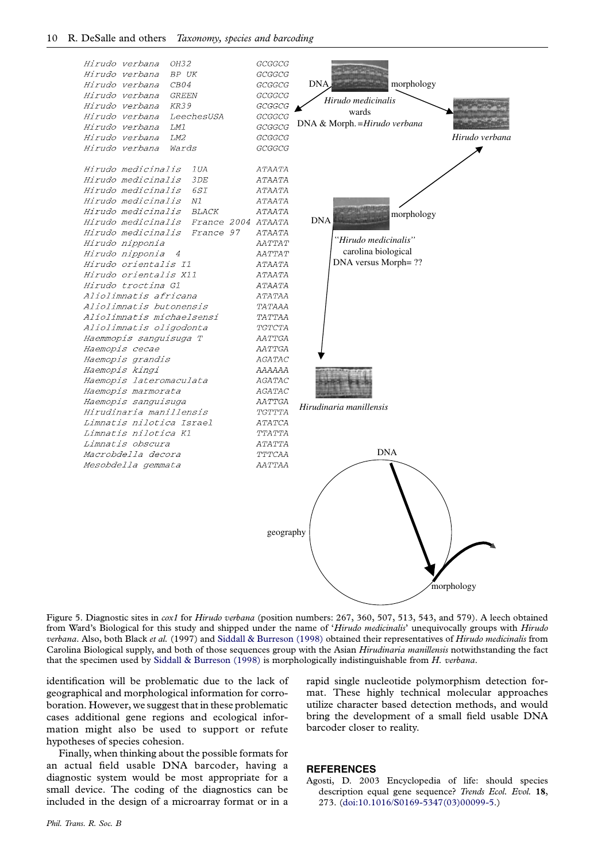#### <span id="page-9-0"></span>10 R. DeSalle and others Taxonomy, species and barcoding



Figure 5. Diagnostic sites in cox1 for Hirudo verbana (position numbers: 267, 360, 507, 513, 543, and 579). A leech obtained from Ward's Biological for this study and shipped under the name of 'Hirudo medicinalis' unequivocally groups with Hirudo verbana. Also, both Black et al. (1997) and [Siddall & Burreson \(1998\)](#page-11-0) obtained their representatives of Hirudo medicinalis from Carolina Biological supply, and both of those sequences group with the Asian Hirudinaria manillensis notwithstanding the fact that the specimen used by [Siddall & Burreson \(1998\)](#page-11-0) is morphologically indistinguishable from H. verbana.

identification will be problematic due to the lack of geographical and morphological information for corroboration. However, we suggest that in these problematic cases additional gene regions and ecological information might also be used to support or refute hypotheses of species cohesion.

Finally, when thinking about the possible formats for an actual field usable DNA barcoder, having a diagnostic system would be most appropriate for a small device. The coding of the diagnostics can be included in the design of a microarray format or in a

barcoder closer to reality.

**REFERENCES** Agosti, D. 2003 Encyclopedia of life: should species description equal gene sequence? Trends Ecol. Evol. 18, 273. ([doi:10.1016/S0169-5347\(03\)00099-5.](http://dx.doi.org/doi:10.1016/S0169-5347(03)00099-5))

rapid single nucleotide polymorphism detection format. These highly technical molecular approaches utilize character based detection methods, and would bring the development of a small field usable DNA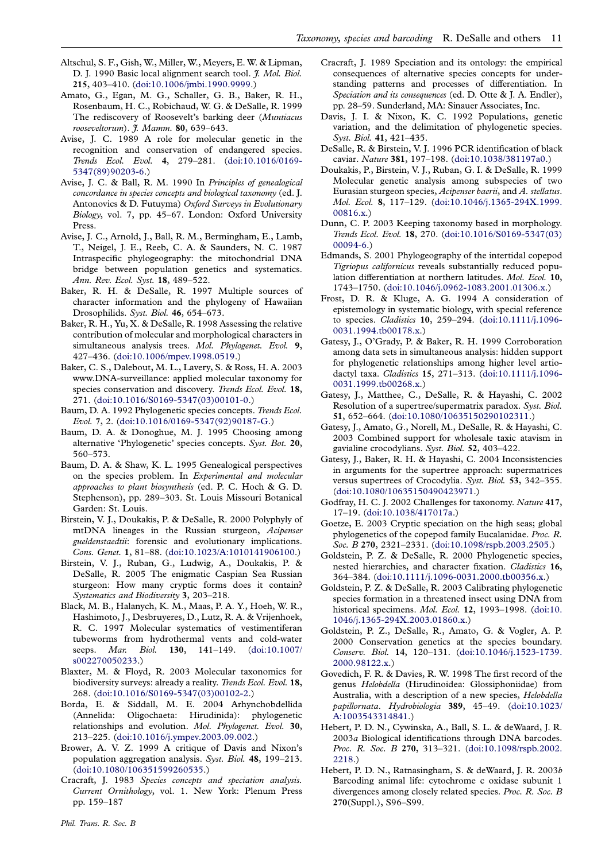- <span id="page-10-0"></span>Altschul, S. F., Gish, W., Miller, W., Meyers, E. W. & Lipman, D. J. 1990 Basic local alignment search tool. J. Mol. Biol. 215, 403–410. ([doi:10.1006/jmbi.1990.9999.](http://dx.doi.org/doi:10.1006/jmbi.1990.9999))
- Amato, G., Egan, M. G., Schaller, G. B., Baker, R. H., Rosenbaum, H. C., Robichaud, W. G. & DeSalle, R. 1999 The rediscovery of Roosevelt's barking deer (Muntiacus rooseveltorum). J. Mamm. 80, 639–643.
- Avise, J. C. 1989 A role for molecular genetic in the recognition and conservation of endangered species. Trends Ecol. Evol. 4, 279–281. [\(doi:10.1016/0169-](http://dx.doi.org/doi:10.1016/0169-5347(89)90203-6) [5347\(89\)90203-6.](http://dx.doi.org/doi:10.1016/0169-5347(89)90203-6))
- Avise, J. C. & Ball, R. M. 1990 In Principles of genealogical concordance in species concepts and biological taxonomy (ed. J. Antonovics & D. Futuyma) Oxford Surveys in Evolutionary Biology, vol. 7, pp. 45–67. London: Oxford University Press.
- Avise, J. C., Arnold, J., Ball, R. M., Bermingham, E., Lamb, T., Neigel, J. E., Reeb, C. A. & Saunders, N. C. 1987 Intraspecific phylogeography: the mitochondrial DNA bridge between population genetics and systematics. Ann. Rev. Ecol. Syst. 18, 489-522.
- Baker, R. H. & DeSalle, R. 1997 Multiple sources of character information and the phylogeny of Hawaiian Drosophilids. Syst. Biol. 46, 654–673.
- Baker, R. H., Yu, X. & DeSalle, R. 1998 Assessing the relative contribution of molecular and morphological characters in simultaneous analysis trees. Mol. Phylogenet. Evol. 9, 427–436. [\(doi:10.1006/mpev.1998.0519.](http://dx.doi.org/doi:10.1006/mpev.1998.0519))
- Baker, C. S., Dalebout, M. L., Lavery, S. & Ross, H. A. 2003 www.DNA-surveillance: applied molecular taxonomy for species conservation and discovery. Trends Ecol. Evol. 18, 271. ([doi:10.1016/S0169-5347\(03\)00101-0.](http://dx.doi.org/doi:10.1016/S0169-5347(03)00101-0))
- Baum, D. A. 1992 Phylogenetic species concepts. Trends Ecol. Evol. 7, 2. [\(doi:10.1016/0169-5347\(92\)90187-G.\)](http://dx.doi.org/doi:10.1016/0169-5347(92)90187-G)
- Baum, D. A. & Donoghue, M. J. 1995 Choosing among alternative 'Phylogenetic' species concepts. Syst. Bot. 20, 560–573.
- Baum, D. A. & Shaw, K. L. 1995 Genealogical perspectives on the species problem. In Experimental and molecular approaches to plant biosynthesis (ed. P. C. Hoch & G. D. Stephenson), pp. 289–303. St. Louis Missouri Botanical Garden: St. Louis.
- Birstein, V. J., Doukakis, P. & DeSalle, R. 2000 Polyphyly of mtDNA lineages in the Russian sturgeon, Acipenser gueldenstaedtii: forensic and evolutionary implications. Cons. Genet. 1, 81–88. ([doi:10.1023/A:1010141906100.](http://dx.doi.org/doi:10.1023/A:1010141906100))
- Birstein, V. J., Ruban, G., Ludwig, A., Doukakis, P. & DeSalle, R. 2005 The enigmatic Caspian Sea Russian sturgeon: How many cryptic forms does it contain? Systematics and Biodiversity 3, 203–218.
- Black, M. B., Halanych, K. M., Maas, P. A. Y., Hoeh, W. R., Hashimoto, J., Desbruyeres, D., Lutz, R. A. & Vrijenhoek, R. C. 1997 Molecular systematics of vestimentiferan tubeworms from hydrothermal vents and cold-water seeps. *Mar. Biol.* **130**, **141–149**. ([doi:10.1007/](http://dx.doi.org/doi:10.1007/s002270050233) [s002270050233.\)](http://dx.doi.org/doi:10.1007/s002270050233)
- Blaxter, M. & Floyd, R. 2003 Molecular taxonomics for biodiversity surveys: already a reality. Trends Ecol. Evol. 18, 268. ([doi:10.1016/S0169-5347\(03\)00102-2.](http://dx.doi.org/doi:10.1016/S0169-5347(03)00102-2))
- Borda, E. & Siddall, M. E. 2004 Arhynchobdellida (Annelida: Oligochaeta: Hirudinida): phylogenetic relationships and evolution. Mol. Phylogenet. Evol. 30, 213–225. [\(doi:10.1016/j.ympev.2003.09.002.\)](http://dx.doi.org/doi:10.1016/j.ympev.2003.09.002)
- Brower, A. V. Z. 1999 A critique of Davis and Nixon's population aggregation analysis. Syst. Biol. 48, 199–213. ([doi:10.1080/106351599260535.](http://dx.doi.org/doi:10.1080/106351599260535))
- Cracraft, J. 1983 Species concepts and speciation analysis. Current Ornithology, vol. 1. New York: Plenum Press pp. 159–187
- Cracraft, J. 1989 Speciation and its ontology: the empirical consequences of alternative species concepts for understanding patterns and processes of differentiation. In Speciation and its consequences (ed. D. Otte & J. A. Endler), pp. 28–59. Sunderland, MA: Sinauer Associates, Inc.
- Davis, J. I. & Nixon, K. C. 1992 Populations, genetic variation, and the delimitation of phylogenetic species. Syst. Biol. 41, 421–435.
- DeSalle, R. & Birstein, V. J. 1996 PCR identification of black caviar. Nature 381, 197–198. [\(doi:10.1038/381197a0.\)](http://dx.doi.org/doi:10.1038/381197a0)
- Doukakis, P., Birstein, V. J., Ruban, G. I. & DeSalle, R. 1999 Molecular genetic analysis among subspecies of two Eurasian sturgeon species, Acipenser baerii, and A. stellatus. Mol. Ecol. 8, 117–129. ([doi:10.1046/j.1365-294X.1999.](http://dx.doi.org/doi:10.1046/j.1365-294X.1999.00816.x) [00816.x.\)](http://dx.doi.org/doi:10.1046/j.1365-294X.1999.00816.x)
- Dunn, C. P. 2003 Keeping taxonomy based in morphology. Trends Ecol. Evol. 18, 270. ([doi:10.1016/S0169-5347\(03\)](http://dx.doi.org/doi:10.1016/S0169-5347(03)00094-6) [00094-6.\)](http://dx.doi.org/doi:10.1016/S0169-5347(03)00094-6)
- Edmands, S. 2001 Phylogeography of the intertidal copepod Tigriopus californicus reveals substantially reduced population differentiation at northern latitudes. Mol. Ecol. 10, 1743–1750. [\(doi:10.1046/j.0962-1083.2001.01306.x.](http://dx.doi.org/doi:10.1046/j.0962-1083.2001.01306.x))
- Frost, D. R. & Kluge, A. G. 1994 A consideration of epistemology in systematic biology, with special reference to species. Cladistics 10, 259–294. ([doi:10.1111/j.1096-](http://dx.doi.org/doi:10.1111/j.1096-0031.1994.tb00178.x) [0031.1994.tb00178.x.\)](http://dx.doi.org/doi:10.1111/j.1096-0031.1994.tb00178.x)
- Gatesy, J., O'Grady, P. & Baker, R. H. 1999 Corroboration among data sets in simultaneous analysis: hidden support for phylogenetic relationships among higher level artiodactyl taxa. Cladistics 15, 271–313. ([doi:10.1111/j.1096-](http://dx.doi.org/doi:10.1111/j.1096-0031.1999.tb00268.x) [0031.1999.tb00268.x.\)](http://dx.doi.org/doi:10.1111/j.1096-0031.1999.tb00268.x)
- Gatesy, J., Matthee, C., DeSalle, R. & Hayashi, C. 2002 Resolution of a supertree/supermatrix paradox. Syst. Biol. 51, 652–664. ([doi:10.1080/10635150290102311.](http://dx.doi.org/doi:10.1080/10635150290102311))
- Gatesy, J., Amato, G., Norell, M., DeSalle, R. & Hayashi, C. 2003 Combined support for wholesale taxic atavism in gavialine crocodylians. Syst. Biol. 52, 403–422.
- Gatesy, J., Baker, R. H. & Hayashi, C. 2004 Inconsistencies in arguments for the supertree approach: supermatrices versus supertrees of Crocodylia. Syst. Biol. 53, 342–355. ([doi:10.1080/10635150490423971.](http://dx.doi.org/doi:10.1080/10635150490423971))
- Godfray, H. C. J. 2002 Challenges for taxonomy. Nature 417, 17–19. [\(doi:10.1038/417017a.\)](http://dx.doi.org/doi:10.1038/417017a)
- Goetze, E. 2003 Cryptic speciation on the high seas; global phylogenetics of the copepod family Eucalanidae. Proc. R. Soc. B 270, 2321-2331. ([doi:10.1098/rspb.2003.2505.\)](http://dx.doi.org/doi:10.1098/rspb.2003.2505)
- Goldstein, P. Z. & DeSalle, R. 2000 Phylogenetic species, nested hierarchies, and character fixation. Cladistics 16, 364–384. [\(doi:10.1111/j.1096-0031.2000.tb00356.x.](http://dx.doi.org/doi:10.1111/j.1096-0031.2000.tb00356.x))
- Goldstein, P. Z. & DeSalle, R. 2003 Calibrating phylogenetic species formation in a threatened insect using DNA from historical specimens. Mol. Ecol. 12, 1993-1998. ([doi:10.](http://dx.doi.org/doi:10.1046/j.1365-294X.2003.01860.x) [1046/j.1365-294X.2003.01860.x.\)](http://dx.doi.org/doi:10.1046/j.1365-294X.2003.01860.x)
- Goldstein, P. Z., DeSalle, R., Amato, G. & Vogler, A. P. 2000 Conservation genetics at the species boundary. Conserv. Biol. 14, 120–131. [\(doi:10.1046/j.1523-1739.](http://dx.doi.org/doi:10.1046/j.1523-1739.2000.98122.x) [2000.98122.x.](http://dx.doi.org/doi:10.1046/j.1523-1739.2000.98122.x))
- Govedich, F. R. & Davies, R. W. 1998 The first record of the genus Helobdella (Hirudinoidea: Glossiphoniidae) from Australia, with a description of a new species, Helobdella papillornata. Hydrobiologia 389, 45–49. ([doi:10.1023/](http://dx.doi.org/doi:10.1023/A:1003543314841) [A:1003543314841.](http://dx.doi.org/doi:10.1023/A:1003543314841))
- Hebert, P. D. N., Cywinska, A., Ball, S. L. & deWaard, J. R. 2003a Biological identifications through DNA barcodes. Proc. R. Soc. B 270, 313-321. ([doi:10.1098/rspb.2002.](http://dx.doi.org/doi:10.1098/rspb.2002.2218) [2218.\)](http://dx.doi.org/doi:10.1098/rspb.2002.2218)
- Hebert, P. D. N., Ratnasingham, S. & deWaard, J. R. 2003b Barcoding animal life: cytochrome c oxidase subunit 1 divergences among closely related species. Proc. R. Soc. B 270(Suppl.), S96–S99.